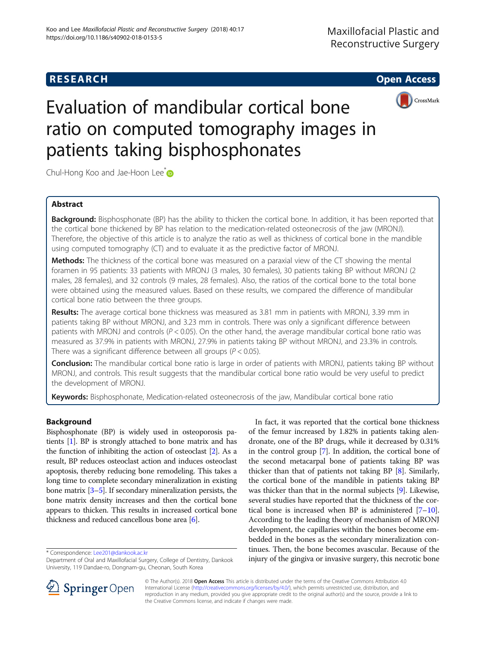



# Evaluation of mandibular cortical bone ratio on computed tomography images in patients taking bisphosphonates

Chul-Hong Koo and Jae-Hoon Lee<sup>\*</sup>

# Abstract

Background: Bisphosphonate (BP) has the ability to thicken the cortical bone. In addition, it has been reported that the cortical bone thickened by BP has relation to the medication-related osteonecrosis of the jaw (MRONJ). Therefore, the objective of this article is to analyze the ratio as well as thickness of cortical bone in the mandible using computed tomography (CT) and to evaluate it as the predictive factor of MRONJ.

Methods: The thickness of the cortical bone was measured on a paraxial view of the CT showing the mental foramen in 95 patients: 33 patients with MRONJ (3 males, 30 females), 30 patients taking BP without MRONJ (2 males, 28 females), and 32 controls (9 males, 28 females). Also, the ratios of the cortical bone to the total bone were obtained using the measured values. Based on these results, we compared the difference of mandibular cortical bone ratio between the three groups.

Results: The average cortical bone thickness was measured as 3.81 mm in patients with MRONJ, 3.39 mm in patients taking BP without MRONJ, and 3.23 mm in controls. There was only a significant difference between patients with MRONJ and controls ( $P < 0.05$ ). On the other hand, the average mandibular cortical bone ratio was measured as 37.9% in patients with MRONJ, 27.9% in patients taking BP without MRONJ, and 23.3% in controls. There was a significant difference between all groups ( $P < 0.05$ ).

Conclusion: The mandibular cortical bone ratio is large in order of patients with MRONJ, patients taking BP without MRONJ, and controls. This result suggests that the mandibular cortical bone ratio would be very useful to predict the development of MRONJ.

**Keywords:** Bisphosphonate, Medication-related osteonecrosis of the jaw, Mandibular cortical bone ratio

## Background

Bisphosphonate (BP) is widely used in osteoporosis patients [\[1\]](#page-5-0). BP is strongly attached to bone matrix and has the function of inhibiting the action of osteoclast [\[2](#page-5-0)]. As a result, BP reduces osteoclast action and induces osteoclast apoptosis, thereby reducing bone remodeling. This takes a long time to complete secondary mineralization in existing bone matrix [\[3](#page-5-0)–[5\]](#page-5-0). If secondary mineralization persists, the bone matrix density increases and then the cortical bone appears to thicken. This results in increased cortical bone thickness and reduced cancellous bone area [[6](#page-5-0)].

In fact, it was reported that the cortical bone thickness of the femur increased by 1.82% in patients taking alendronate, one of the BP drugs, while it decreased by 0.31% in the control group [[7](#page-5-0)]. In addition, the cortical bone of the second metacarpal bone of patients taking BP was thicker than that of patients not taking BP [[8](#page-5-0)]. Similarly, the cortical bone of the mandible in patients taking BP was thicker than that in the normal subjects [\[9](#page-5-0)]. Likewise, several studies have reported that the thickness of the cortical bone is increased when BP is administered  $[7-10]$  $[7-10]$  $[7-10]$  $[7-10]$ . According to the leading theory of mechanism of MRONJ development, the capillaries within the bones become embedded in the bones as the secondary mineralization continues. Then, the bone becomes avascular. Because of the iniury of the gingiva or investment of Oral and Maxillofacial Surgery. College of Dentistry. Dankook \* **injury of the gingiva or invasive surgery, this necrotic bone**<br>Department of Oral and Maxillofacial Surgery. College o



© The Author(s). 2018 Open Access This article is distributed under the terms of the Creative Commons Attribution 4.0 International License ([http://creativecommons.org/licenses/by/4.0/\)](http://creativecommons.org/licenses/by/4.0/), which permits unrestricted use, distribution, and reproduction in any medium, provided you give appropriate credit to the original author(s) and the source, provide a link to the Creative Commons license, and indicate if changes were made.

Department of Oral and Maxillofacial Surgery, College of Dentistry, Dankook University, 119 Dandae-ro, Dongnam-gu, Cheonan, South Korea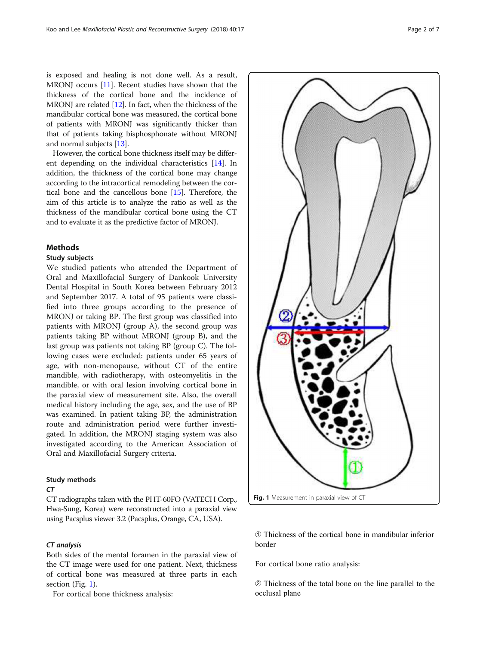is exposed and healing is not done well. As a result, MRONJ occurs [\[11\]](#page-6-0). Recent studies have shown that the thickness of the cortical bone and the incidence of MRONJ are related [\[12\]](#page-6-0). In fact, when the thickness of the mandibular cortical bone was measured, the cortical bone of patients with MRONJ was significantly thicker than that of patients taking bisphosphonate without MRONJ and normal subjects [\[13\]](#page-6-0).

However, the cortical bone thickness itself may be different depending on the individual characteristics [\[14\]](#page-6-0). In addition, the thickness of the cortical bone may change according to the intracortical remodeling between the cortical bone and the cancellous bone [\[15\]](#page-6-0). Therefore, the aim of this article is to analyze the ratio as well as the thickness of the mandibular cortical bone using the CT and to evaluate it as the predictive factor of MRONJ.

#### **Methods**

#### Study subjects

We studied patients who attended the Department of Oral and Maxillofacial Surgery of Dankook University Dental Hospital in South Korea between February 2012 and September 2017. A total of 95 patients were classified into three groups according to the presence of MRONJ or taking BP. The first group was classified into patients with MRONJ (group A), the second group was patients taking BP without MRONJ (group B), and the last group was patients not taking BP (group C). The following cases were excluded: patients under 65 years of age, with non-menopause, without CT of the entire mandible, with radiotherapy, with osteomyelitis in the mandible, or with oral lesion involving cortical bone in the paraxial view of measurement site. Also, the overall medical history including the age, sex, and the use of BP was examined. In patient taking BP, the administration route and administration period were further investigated. In addition, the MRONJ staging system was also investigated according to the American Association of Oral and Maxillofacial Surgery criteria.

#### Study methods

#### CT

CT radiographs taken with the PHT-60FO (VATECH Corp., Hwa-Sung, Korea) were reconstructed into a paraxial view using Pacsplus viewer 3.2 (Pacsplus, Orange, CA, USA).

#### CT analysis

Both sides of the mental foramen in the paraxial view of the CT image were used for one patient. Next, thickness of cortical bone was measured at three parts in each section (Fig. 1).

For cortical bone thickness analysis:



➀ Thickness of the cortical bone in mandibular inferior border

For cortical bone ratio analysis:

➁ Thickness of the total bone on the line parallel to the occlusal plane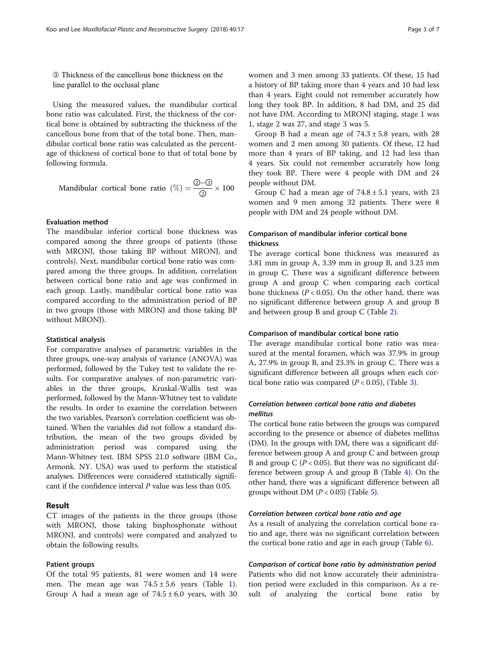➂ Thickness of the cancellous bone thickness on the line parallel to the occlusal plane

Using the measured values, the mandibular cortical bone ratio was calculated. First, the thickness of the cortical bone is obtained by subtracting the thickness of the cancellous bone from that of the total bone. Then, mandibular cortical bone ratio was calculated as the percentage of thickness of cortical bone to that of total bone by following formula.

Mandidular cortical bone ratio 
$$
(\%) = \frac{\textcircled{3} - \textcircled{3}}{\textcircled{2}} \times 100
$$

#### Evaluation method

The mandibular inferior cortical bone thickness was compared among the three groups of patients (those with MRONJ, those taking BP without MRONJ, and controls). Next, mandibular cortical bone ratio was compared among the three groups. In addition, correlation between cortical bone ratio and age was confirmed in each group. Lastly, mandibular cortical bone ratio was compared according to the administration period of BP in two groups (those with MRONJ and those taking BP without MRONJ).

#### Statistical analysis

For comparative analyses of parametric variables in the three groups, one-way analysis of variance (ANOVA) was performed, followed by the Tukey test to validate the results. For comparative analyses of non-parametric variables in the three groups, Kruskal-Wallis test was performed, followed by the Mann-Whitney test to validate the results. In order to examine the correlation between the two variables, Pearson's correlation coefficient was obtained. When the variables did not follow a standard distribution, the mean of the two groups divided by administration period was compared using the Mann-Whitney test. IBM SPSS 21.0 software (IBM Co., Armonk. NY. USA) was used to perform the statistical analyses. Differences were considered statistically significant if the confidence interval P value was less than 0.05.

#### Result

CT images of the patients in the three groups (those with MRONJ, those taking bisphosphonate without MRONJ, and controls) were compared and analyzed to obtain the following results.

#### Patient groups

Of the total 95 patients, 81 were women and 14 were men. The mean age was  $74.5 \pm 5.6$  years (Table [1](#page-3-0)). Group A had a mean age of  $74.5 \pm 6.0$  years, with 30

women and 3 men among 33 patients. Of these, 15 had a history of BP taking more than 4 years and 10 had less than 4 years. Eight could not remember accurately how long they took BP. In addition, 8 had DM, and 25 did not have DM. According to MRONJ staging, stage 1 was 1, stage 2 was 27, and stage 3 was 5.

Group B had a mean age of  $74.3 \pm 5.8$  years, with 28 women and 2 men among 30 patients. Of these, 12 had more than 4 years of BP taking, and 12 had less than 4 years. Six could not remember accurately how long they took BP. There were 4 people with DM and 24 people without DM.

Group C had a mean age of  $74.8 \pm 5.1$  years, with 23 women and 9 men among 32 patients. There were 8 people with DM and 24 people without DM.

### Comparison of mandibular inferior cortical bone thickness

The average cortical bone thickness was measured as 3.81 mm in group A, 3.39 mm in group B, and 3.23 mm in group C. There was a significant difference between group A and group C when comparing each cortical bone thickness  $(P < 0.05)$ . On the other hand, there was no significant difference between group A and group B and between group B and group C (Table [2\)](#page-3-0).

#### Comparison of mandibular cortical bone ratio

The average mandibular cortical bone ratio was measured at the mental foramen, which was 37.9% in group A, 27.9% in group B, and 23.3% in group C. There was a significant difference between all groups when each cortical bone ratio was compared  $(P < 0.05)$ , (Table [3](#page-3-0)).

### Correlation between cortical bone ratio and diabetes mellitus

The cortical bone ratio between the groups was compared according to the presence or absence of diabetes mellitus (DM). In the groups with DM, there was a significant difference between group A and group C and between group B and group C ( $P < 0.05$ ). But there was no significant difference between group A and group B (Table [4](#page-4-0)). On the other hand, there was a significant difference between all groups without DM  $(P < 0.05)$  $(P < 0.05)$  $(P < 0.05)$  (Table 5).

#### Correlation between cortical bone ratio and age

As a result of analyzing the correlation cortical bone ratio and age, there was no significant correlation between the cortical bone ratio and age in each group (Table [6\)](#page-4-0).

#### Comparison of cortical bone ratio by administration period

Patients who did not know accurately their administration period were excluded in this comparison. As a result of analyzing the cortical bone ratio by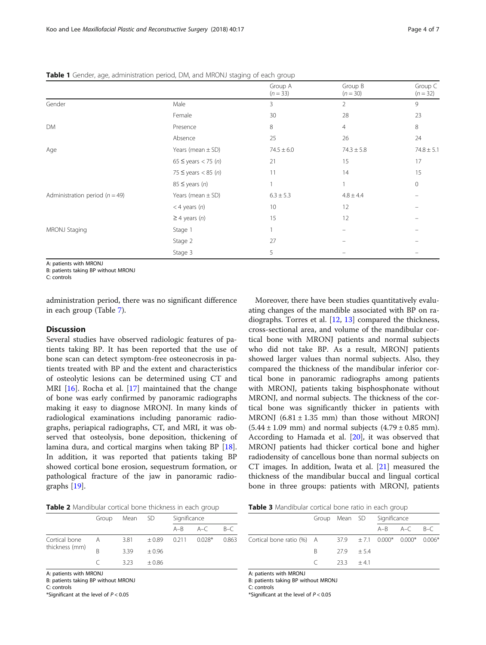<span id="page-3-0"></span>

| Table 1 Gender, age, administration period, DM, and MRONJ staging of each group |  |  |
|---------------------------------------------------------------------------------|--|--|
|                                                                                 |  |  |

|                                    |                         | Group A<br>$(n = 33)$ | Group B<br>$(n = 30)$ | Group C<br>$(n = 32)$ |
|------------------------------------|-------------------------|-----------------------|-----------------------|-----------------------|
| Gender                             | Male                    | 3                     | $\overline{2}$        | 9                     |
|                                    | Female                  | 30                    | 28                    | 23                    |
| DM                                 | Presence                | 8                     | 4                     | 8                     |
|                                    | Absence                 | 25                    | 26                    | 24                    |
| Age                                | Years (mean $\pm$ SD)   | $74.5 \pm 6.0$        | $74.3 \pm 5.8$        | $74.8 \pm 5.1$        |
|                                    | 65 ≤ years < 75 (n)     | 21                    | 15                    | 17                    |
|                                    | $75 \le$ years < 85 (n) | 11                    | 14                    | 15                    |
|                                    | $85 \le$ years (n)      |                       |                       | $\circ$               |
| Administration period ( $n = 49$ ) | Years (mean $\pm$ SD)   | $6.3 \pm 5.3$         | $4.8 \pm 4.4$         |                       |
|                                    | $<$ 4 years $(n)$       | 10                    | 12                    |                       |
|                                    | $\geq$ 4 years (n)      | 15                    | 12                    |                       |
| MRONJ Staging                      | Stage 1                 |                       |                       |                       |
|                                    | Stage 2                 | 27                    |                       |                       |
|                                    | Stage 3                 | 5                     |                       |                       |

A: patients with MRONJ

B: patients taking BP without MRONJ

C: controls

administration period, there was no significant difference in each group (Table [7](#page-4-0)).

#### **Discussion**

Several studies have observed radiologic features of patients taking BP. It has been reported that the use of bone scan can detect symptom-free osteonecrosis in patients treated with BP and the extent and characteristics of osteolytic lesions can be determined using CT and MRI [\[16](#page-6-0)]. Rocha et al. [\[17](#page-6-0)] maintained that the change of bone was early confirmed by panoramic radiographs making it easy to diagnose MRONJ. In many kinds of radiological examinations including panoramic radiographs, periapical radiographs, CT, and MRI, it was observed that osteolysis, bone deposition, thickening of lamina dura, and cortical margins when taking BP [\[18](#page-6-0)]. In addition, it was reported that patients taking BP showed cortical bone erosion, sequestrum formation, or pathological fracture of the jaw in panoramic radiographs [[19\]](#page-6-0).

Moreover, there have been studies quantitatively evaluating changes of the mandible associated with BP on radiographs. Torres et al. [[12,](#page-6-0) [13\]](#page-6-0) compared the thickness, cross-sectional area, and volume of the mandibular cortical bone with MRONJ patients and normal subjects who did not take BP. As a result, MRONJ patients showed larger values than normal subjects. Also, they compared the thickness of the mandibular inferior cortical bone in panoramic radiographs among patients with MRONJ, patients taking bisphosphonate without MRONJ, and normal subjects. The thickness of the cortical bone was significantly thicker in patients with MRONJ  $(6.81 \pm 1.35 \text{ mm})$  than those without MRONJ  $(5.44 \pm 1.09 \text{ mm})$  and normal subjects  $(4.79 \pm 0.85 \text{ mm})$ . According to Hamada et al. [[20\]](#page-6-0), it was observed that MRONJ patients had thicker cortical bone and higher radiodensity of cancellous bone than normal subjects on CT images. In addition, Iwata et al. [[21](#page-6-0)] measured the thickness of the mandibular buccal and lingual cortical bone in three groups: patients with MRONJ, patients

| Table 2 Mandibular cortical bone thickness in each group |  |  |  |
|----------------------------------------------------------|--|--|--|
|----------------------------------------------------------|--|--|--|

|                | Group | Mean | - SD    | Significance |          |       |
|----------------|-------|------|---------|--------------|----------|-------|
|                |       |      |         | $A - B$      | $A-C$    | $B-C$ |
| Cortical bone  | Α     | 3.81 | ±0.89   | 0.211        | $0.028*$ | 0.863 |
| thickness (mm) |       | 339  | $+0.96$ |              |          |       |
|                |       | 323  | $+0.86$ |              |          |       |

A: patients with MRONJ

B: patients taking BP without MRONJ

C: controls

\*Significant at the level of  $P < 0.05$ 

Table 3 Mandibular cortical bone ratio in each group

|                                                                   | Group Mean SD Significance |  |  |                         |  |
|-------------------------------------------------------------------|----------------------------|--|--|-------------------------|--|
|                                                                   |                            |  |  | $A - B$ $A - C$ $B - C$ |  |
| Cortical bone ratio (%) A $37.9 + 7.1 + 0.000* + 0.000* + 0.006*$ |                            |  |  |                         |  |
|                                                                   | $B = 27.9 + 5.4$           |  |  |                         |  |
|                                                                   | $\binom{2}{3}$ +41         |  |  |                         |  |

A: patients with MRONJ

B: patients taking BP without MRONJ

C: controls

\*Significant at the level of  $P < 0.05$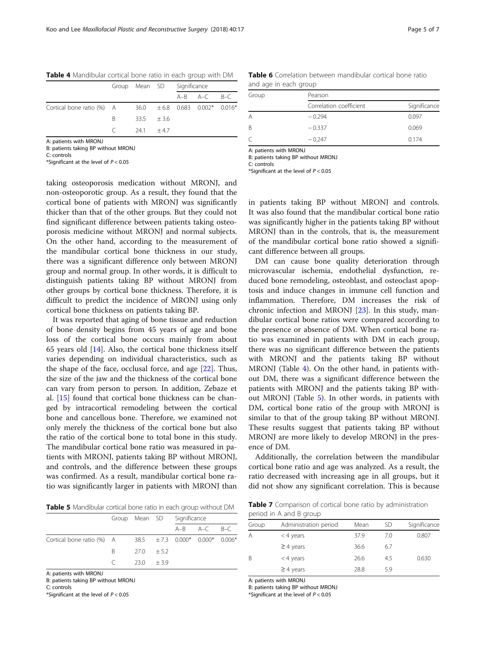<span id="page-4-0"></span>Table 4 Mandibular cortical bone ratio in each group with DM

|                                                                | Group Mean SD Significance |  |  |                   |  |
|----------------------------------------------------------------|----------------------------|--|--|-------------------|--|
|                                                                |                            |  |  | $A-B$ $A-C$ $B-C$ |  |
| Cortical bone ratio (%) A $36.0 + 6.8 + 0.083 + 0.002$ * 0.016 |                            |  |  |                   |  |
|                                                                | B $33.5 + 3.6$             |  |  |                   |  |
|                                                                | $C = 241 + 47$             |  |  |                   |  |

A: patients with MRONJ

B: patients taking BP without MRONJ

C: controls

\*Significant at the level of  $P < 0.05$ 

taking osteoporosis medication without MRONJ, and non-osteoporotic group. As a result, they found that the cortical bone of patients with MRONJ was significantly thicker than that of the other groups. But they could not find significant difference between patients taking osteoporosis medicine without MRONJ and normal subjects. On the other hand, according to the measurement of the mandibular cortical bone thickness in our study, there was a significant difference only between MRONJ group and normal group. In other words, it is difficult to distinguish patients taking BP without MRONJ from other groups by cortical bone thickness. Therefore, it is difficult to predict the incidence of MRONJ using only cortical bone thickness on patients taking BP.

It was reported that aging of bone tissue and reduction of bone density begins from 45 years of age and bone loss of the cortical bone occurs mainly from about 65 years old  $[14]$  $[14]$  $[14]$ . Also, the cortical bone thickness itself varies depending on individual characteristics, such as the shape of the face, occlusal force, and age [[22\]](#page-6-0). Thus, the size of the jaw and the thickness of the cortical bone can vary from person to person. In addition, Zebaze et al. [[15\]](#page-6-0) found that cortical bone thickness can be changed by intracortical remodeling between the cortical bone and cancellous bone. Therefore, we examined not only merely the thickness of the cortical bone but also the ratio of the cortical bone to total bone in this study. The mandibular cortical bone ratio was measured in patients with MRONJ, patients taking BP without MRONJ, and controls, and the difference between these groups was confirmed. As a result, mandibular cortical bone ratio was significantly larger in patients with MRONJ than

Table 5 Mandibular cortical bone ratio in each group without DM

|                                                                             |              |            | Group Mean SD Significance |                         |  |
|-----------------------------------------------------------------------------|--------------|------------|----------------------------|-------------------------|--|
|                                                                             |              |            |                            | $A - B$ $A - C$ $B - C$ |  |
| Cortical bone ratio (%) A $\qquad 38.5 \qquad \pm 7.3$ 0.000* 0.000* 0.006* |              |            |                            |                         |  |
|                                                                             | B 27.0 +5.2  |            |                            |                         |  |
|                                                                             | $\epsilon$ . | - 230 + 39 |                            |                         |  |

A: patients with MRONJ

B: patients taking BP without MRONJ

C: controls

\*Significant at the level of  $P < 0.05$ 

Table 6 Correlation between mandibular cortical bone ratio and age in each group

| Group | Pearson                 |              |  |  |  |  |
|-------|-------------------------|--------------|--|--|--|--|
|       | Correlation coefficient | Significance |  |  |  |  |
| А     | $-0.294$                | 0.097        |  |  |  |  |
| B     | $-0.337$                | 0.069        |  |  |  |  |
| C     | $-0.247$                | 0.174        |  |  |  |  |

A: patients with MRONJ

B: patients taking BP without MRONJ

C: controls

\*Significant at the level of  $P < 0.05$ 

in patients taking BP without MRONJ and controls. It was also found that the mandibular cortical bone ratio was significantly higher in the patients taking BP without MRONJ than in the controls, that is, the measurement of the mandibular cortical bone ratio showed a significant difference between all groups.

DM can cause bone quality deterioration through microvascular ischemia, endothelial dysfunction, reduced bone remodeling, osteoblast, and osteoclast apoptosis and induce changes in immune cell function and inflammation. Therefore, DM increases the risk of chronic infection and MRONJ [[23\]](#page-6-0). In this study, mandibular cortical bone ratios were compared according to the presence or absence of DM. When cortical bone ratio was examined in patients with DM in each group, there was no significant difference between the patients with MRONJ and the patients taking BP without MRONJ (Table 4). On the other hand, in patients without DM, there was a significant difference between the patients with MRONJ and the patients taking BP without MRONJ (Table 5). In other words, in patients with DM, cortical bone ratio of the group with MRONJ is similar to that of the group taking BP without MRONJ. These results suggest that patients taking BP without MRONJ are more likely to develop MRONJ in the presence of DM.

Additionally, the correlation between the mandibular cortical bone ratio and age was analyzed. As a result, the ratio decreased with increasing age in all groups, but it did not show any significant correlation. This is because

Table 7 Comparison of cortical bone ratio by administration period in A and B group

| Group | Administration period | Mean | SD  | Significance |
|-------|-----------------------|------|-----|--------------|
| A     | $<$ 4 years           | 37.9 | 7.0 | 0.807        |
|       | $\geq$ 4 years        | 36.6 | 6.7 |              |
| B     | $<$ 4 years           | 26.6 | 4.5 | 0.630        |
|       | $\geq$ 4 years        | 28.8 | 5.9 |              |
|       |                       |      |     |              |

A: patients with MRONJ

B: patients taking BP without MRONJ

\*Significant at the level of  $P < 0.05$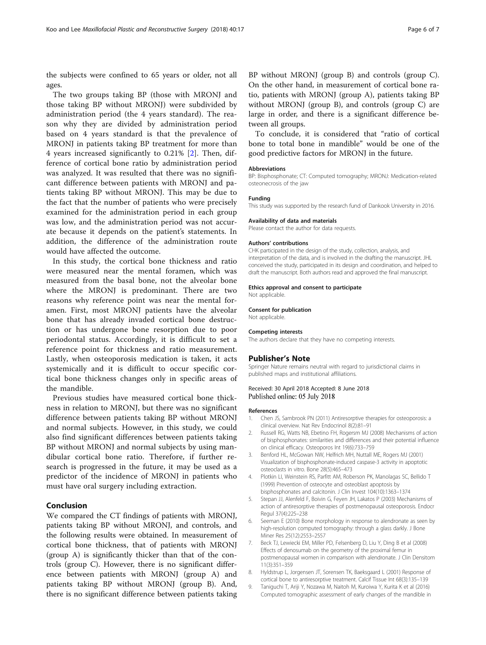<span id="page-5-0"></span>the subjects were confined to 65 years or older, not all ages.

The two groups taking BP (those with MRONJ and those taking BP without MRONJ) were subdivided by administration period (the 4 years standard). The reason why they are divided by administration period based on 4 years standard is that the prevalence of MRONJ in patients taking BP treatment for more than 4 years increased significantly to 0.21% [2]. Then, difference of cortical bone ratio by administration period was analyzed. It was resulted that there was no significant difference between patients with MRONJ and patients taking BP without MRONJ. This may be due to the fact that the number of patients who were precisely examined for the administration period in each group was low, and the administration period was not accurate because it depends on the patient's statements. In addition, the difference of the administration route would have affected the outcome.

In this study, the cortical bone thickness and ratio were measured near the mental foramen, which was measured from the basal bone, not the alveolar bone where the MRONJ is predominant. There are two reasons why reference point was near the mental foramen. First, most MRONJ patients have the alveolar bone that has already invaded cortical bone destruction or has undergone bone resorption due to poor periodontal status. Accordingly, it is difficult to set a reference point for thickness and ratio measurement. Lastly, when osteoporosis medication is taken, it acts systemically and it is difficult to occur specific cortical bone thickness changes only in specific areas of the mandible.

Previous studies have measured cortical bone thickness in relation to MRONJ, but there was no significant difference between patients taking BP without MRONJ and normal subjects. However, in this study, we could also find significant differences between patients taking BP without MRONJ and normal subjects by using mandibular cortical bone ratio. Therefore, if further research is progressed in the future, it may be used as a predictor of the incidence of MRONJ in patients who must have oral surgery including extraction.

#### Conclusion

We compared the CT findings of patients with MRONJ, patients taking BP without MRONJ, and controls, and the following results were obtained. In measurement of cortical bone thickness, that of patients with MRONJ (group A) is significantly thicker than that of the controls (group C). However, there is no significant difference between patients with MRONJ (group A) and patients taking BP without MRONJ (group B). And, there is no significant difference between patients taking BP without MRONJ (group B) and controls (group C). On the other hand, in measurement of cortical bone ratio, patients with MRONJ (group A), patients taking BP without MRONJ (group B), and controls (group C) are large in order, and there is a significant difference between all groups.

To conclude, it is considered that "ratio of cortical bone to total bone in mandible" would be one of the good predictive factors for MRONJ in the future.

#### Abbreviations

BP: Bisphosphonate; CT: Computed tomography; MRONJ: Medication-related osteonecrosis of the jaw

#### Funding

This study was supported by the research fund of Dankook University in 2016.

#### Availability of data and materials

Please contact the author for data requests.

#### Authors' contributions

CHK participated in the design of the study, collection, analysis, and interpretation of the data, and is involved in the drafting the manuscript. JHL conceived the study, participated in its design and coordination, and helped to draft the manuscript. Both authors read and approved the final manuscript.

#### Ethics approval and consent to participate

Not applicable.

Consent for publication Not applicable.

#### Competing interests

The authors declare that they have no competing interests.

#### Publisher's Note

Springer Nature remains neutral with regard to jurisdictional claims in published maps and institutional affiliations.

#### Received: 30 April 2018 Accepted: 8 June 2018 Published online: 05 July 2018

#### References

- 1. Chen JS, Sambrook PN (2011) Antiresorptive therapies for osteoporosis: a clinical overview. Nat Rev Endocrinol 8(2):81–91
- 2. Russell RG, Watts NB, Ebetino FH, Rogersm MJ (2008) Mechanisms of action of bisphosphonates: similarities and differences and their potential influence on clinical efficacy. Osteoporos Int 19(6):733–759
- 3. Benford HL, McGowan NW, Helfrich MH, Nuttall ME, Rogers MJ (2001) Visualization of bisphosphonate-induced caspase-3 activity in apoptotic osteoclasts in vitro. Bone 28(5):465–473
- 4. Plotkin LI, Weinstein RS, Parfitt AM, Roberson PK, Manolagas SC, Bellido T (1999) Prevention of osteocyte and osteoblast apoptosis by bisphosphonates and calcitonin. J Clin Invest 104(10):1363–1374
- 5. Stepan JJ, Alenfeld F, Boivin G, Feyen JH, Lakatos P (2003) Mechanisms of action of antiresorptive therapies of postmenopausal osteoporosis. Endocr Regul 37(4):225–238
- 6. Seeman E (2010) Bone morphology in response to alendronate as seen by high-resolution computed tomography: through a glass darkly. J Bone Miner Res 25(12):2553–2557
- 7. Beck TJ, Lewiecki EM, Miller PD, Felsenberg D, Liu Y, Ding B et al (2008) Effects of denosumab on the geometry of the proximal femur in postmenopausal women in comparison with alendronate. J Clin Densitom 11(3):351–359
- 8. Hyldstrup L, Jorgensen JT, Sorensen TK, Baeksgaard L (2001) Response of cortical bone to antiresorptive treatment. Calcif Tissue Int 68(3):135–139
- 9. Taniguchi T, Ariji Y, Nozawa M, Naitoh M, Kuroiwa Y, Kurita K et al (2016) Computed tomographic assessment of early changes of the mandible in